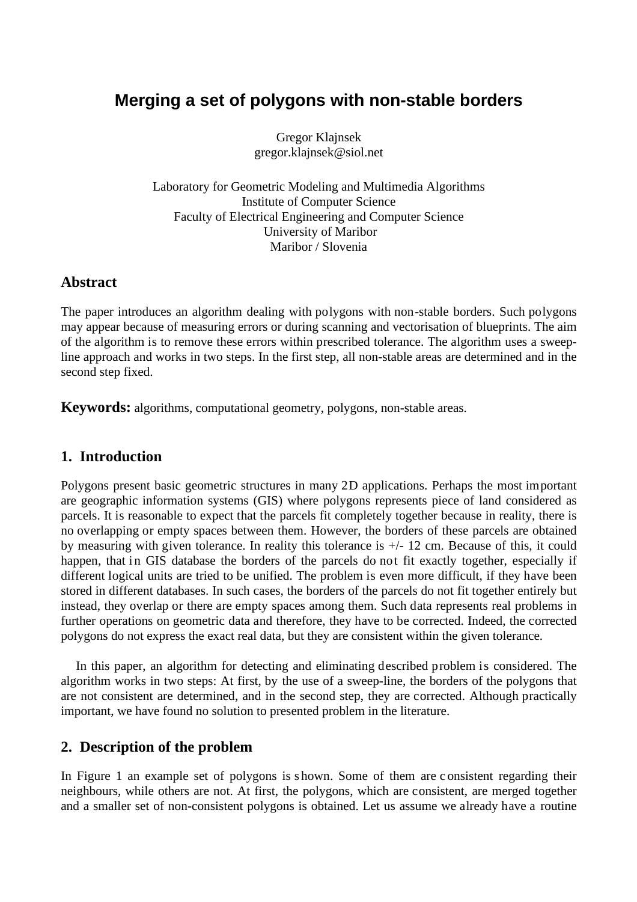# **Merging a set of polygons with non-stable borders**

Gregor Klajnsek gregor.klajnsek@siol.net

Laboratory for Geometric Modeling and Multimedia Algorithms Institute of Computer Science Faculty of Electrical Engineering and Computer Science University of Maribor Maribor / Slovenia

### **Abstract**

The paper introduces an algorithm dealing with polygons with non-stable borders. Such polygons may appear because of measuring errors or during scanning and vectorisation of blueprints. The aim of the algorithm is to remove these errors within prescribed tolerance. The algorithm uses a sweepline approach and works in two steps. In the first step, all non-stable areas are determined and in the second step fixed.

**Keywords:** algorithms, computational geometry, polygons, non-stable areas.

## **1. Introduction**

Polygons present basic geometric structures in many 2D applications. Perhaps the most important are geographic information systems (GIS) where polygons represents piece of land considered as parcels. It is reasonable to expect that the parcels fit completely together because in reality, there is no overlapping or empty spaces between them. However, the borders of these parcels are obtained by measuring with given tolerance. In reality this tolerance is +/- 12 cm. Because of this, it could happen, that in GIS database the borders of the parcels do not fit exactly together, especially if different logical units are tried to be unified. The problem is even more difficult, if they have been stored in different databases. In such cases, the borders of the parcels do not fit together entirely but instead, they overlap or there are empty spaces among them. Such data represents real problems in further operations on geometric data and therefore, they have to be corrected. Indeed, the corrected polygons do not express the exact real data, but they are consistent within the given tolerance.

In this paper, an algorithm for detecting and eliminating described problem is considered. The algorithm works in two steps: At first, by the use of a sweep-line, the borders of the polygons that are not consistent are determined, and in the second step, they are corrected. Although practically important, we have found no solution to presented problem in the literature.

## **2. Description of the problem**

In Figure 1 an example set of polygons is s hown. Some of them are c onsistent regarding their neighbours, while others are not. At first, the polygons, which are consistent, are merged together and a smaller set of non-consistent polygons is obtained. Let us assume we already have a routine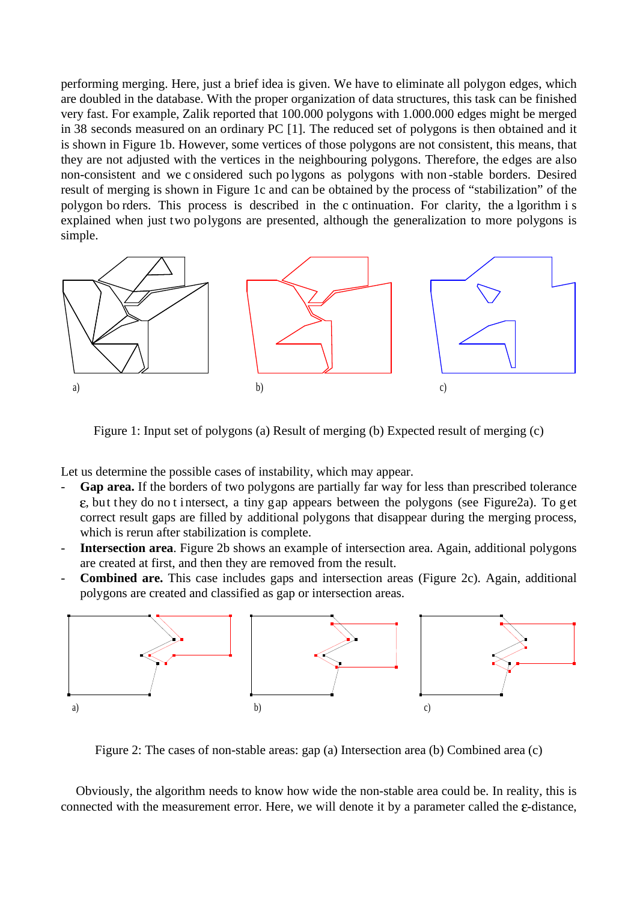performing merging. Here, just a brief idea is given. We have to eliminate all polygon edges, which are doubled in the database. With the proper organization of data structures, this task can be finished very fast. For example, Zalik reported that 100.000 polygons with 1.000.000 edges might be merged in 38 seconds measured on an ordinary PC [1]. The reduced set of polygons is then obtained and it is shown in Figure 1b. However, some vertices of those polygons are not consistent, this means, that they are not adjusted with the vertices in the neighbouring polygons. Therefore, the edges are also non-consistent and we c onsidered such po lygons as polygons with non -stable borders. Desired result of merging is shown in Figure 1c and can be obtained by the process of "stabilization" of the polygon bo rders. This process is described in the c ontinuation. For clarity, the a lgorithm i s explained when just two polygons are presented, although the generalization to more polygons is simple.



Figure 1: Input set of polygons (a) Result of merging (b) Expected result of merging (c)

Let us determine the possible cases of instability, which may appear.

- Gap area. If the borders of two polygons are partially far way for less than prescribed tolerance , but they do no t intersect, a tiny gap appears between the polygons (see Figure2a). To get correct result gaps are filled by additional polygons that disappear during the merging process, which is rerun after stabilization is complete.
- **Intersection area**. Figure 2b shows an example of intersection area. Again, additional polygons are created at first, and then they are removed from the result.
- **Combined are.** This case includes gaps and intersection areas (Figure 2c). Again, additional polygons are created and classified as gap or intersection areas.



Figure 2: The cases of non-stable areas: gap (a) Intersection area (b) Combined area (c)

Obviously, the algorithm needs to know how wide the non-stable area could be. In reality, this is connected with the measurement error. Here, we will denote it by a parameter called the  $\varepsilon$ -distance,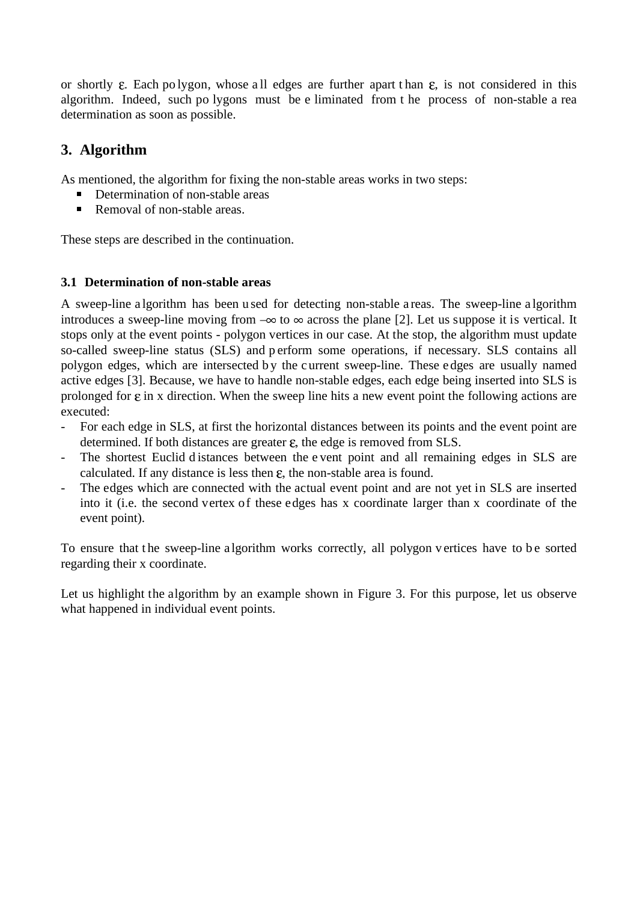or shortly  $\varepsilon$ . Each po lygon, whose all edges are further apart than  $\varepsilon$ , is not considered in this algorithm. Indeed, such po lygons must be e liminated from t he process of non-stable a rea determination as soon as possible.

# **3. Algorithm**

As mentioned, the algorithm for fixing the non-stable areas works in two steps:

- Determination of non-stable areas
- $\blacksquare$ Removal of non-stable areas.

These steps are described in the continuation.

### **3.1 Determination of non-stable areas**

A sweep-line a lgorithm has been u sed for detecting non-stable a reas. The sweep-line a lgorithm introduces a sweep-line moving from  $-\infty$  to  $\infty$  across the plane [2]. Let us suppose it is vertical. It stops only at the event points - polygon vertices in our case. At the stop, the algorithm must update so-called sweep-line status (SLS) and p erform some operations, if necessary. SLS contains all polygon edges, which are intersected b y the c urrent sweep-line. These e dges are usually named active edges [3]. Because, we have to handle non-stable edges, each edge being inserted into SLS is prolonged for  $\varepsilon$  in x direction. When the sweep line hits a new event point the following actions are executed:

- For each edge in SLS, at first the horizontal distances between its points and the event point are determined. If both distances are greater  $\varepsilon$ , the edge is removed from SLS.
- The shortest Euclid d istances between the e vent point and all remaining edges in SLS are calculated. If any distance is less then  $\varepsilon$ , the non-stable area is found.
- The edges which are connected with the actual event point and are not yet in SLS are inserted into it (i.e. the second vertex of these edges has x coordinate larger than x coordinate of the event point).

To ensure that the sweep-line a lgorithm works correctly, all polygon v ertices have to be sorted regarding their x coordinate.

Let us highlight the algorithm by an example shown in Figure 3. For this purpose, let us observe what happened in individual event points.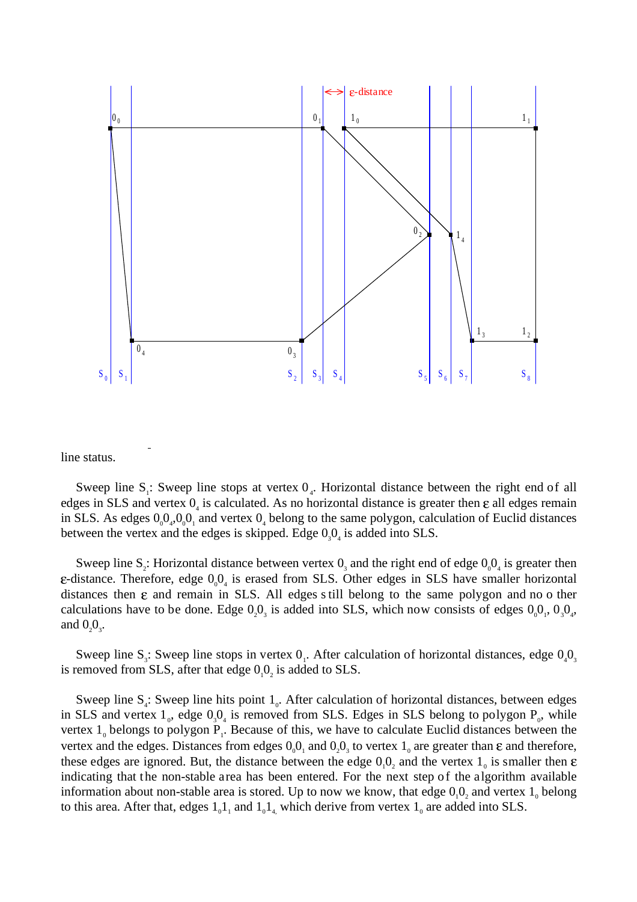

line status.

:<br>Externé de la propincia de la propincia de la propincia de la propincia de la propincia de la propincia de la

Sweep line  $S_i$ : Sweep line stops at vertex  $O_4$ . Horizontal distance between the right end of all edges in SLS and vertex  $0<sub>4</sub>$  is calculated. As no horizontal distance is greater then  $\varepsilon$  all edges remain in SLS. As edges  $0_00_4$ ,  $0_00_1$  and vertex  $0_4$  belong to the same polygon, calculation of Euclid distances between the vertex and the edges is skipped. Edge  $0<sub>3</sub>0<sub>4</sub>$  is added into SLS.

Sweep line S<sub>2</sub>: Horizontal distance between vertex  $0_3$  and the right end of edge  $0_00_4$  is greater then -distance. Therefore, edge  $0_00_4$  is erased from SLS. Other edges in SLS have smaller horizontal distances then  $\varepsilon$  and remain in SLS. All edges still belong to the same polygon and no o ther calculations have to be done. Edge  $0<sub>2</sub>0<sub>3</sub>$  is added into SLS, which now consists of edges  $0<sub>0</sub>0<sub>1</sub>$ ,  $0<sub>3</sub>0<sub>4</sub>$ , and  $0_20_3$ .

Sweep line S<sub>3</sub>: Sweep line stops in vertex  $0<sub>1</sub>$ . After calculation of horizontal distances, edge  $0<sub>4</sub>0<sub>3</sub>$ is removed from SLS, after that edge  $0<sub>1</sub>0<sub>2</sub>$  is added to SLS.

Sweep line  $S_4$ : Sweep line hits point  $1_0$ . After calculation of horizontal distances, between edges in SLS and vertex  $1_{0}$ , edge  $0_{3}0_{4}$  is removed from SLS. Edges in SLS belong to polygon  $P_{0}$ , while vertex  $1_0$  belongs to polygon  $P_1$ . Because of this, we have to calculate Euclid distances between the vertex and the edges. Distances from edges  $0<sub>0</sub>0<sub>1</sub>$  and  $0<sub>2</sub>0<sub>3</sub>$  to vertex  $1<sub>0</sub>$  are greater than  $\varepsilon$  and therefore, these edges are ignored. But, the distance between the edge  $0<sub>1</sub>0<sub>2</sub>$  and the vertex  $1<sub>0</sub>$  is smaller then indicating that the non-stable area has been entered. For the next step of the algorithm available information about non-stable area is stored. Up to now we know, that edge  $0<sub>1</sub>0<sub>2</sub>$  and vertex  $1<sub>0</sub>$  belong to this area. After that, edges  $1_0 1_1$  and  $1_0 1_4$ , which derive from vertex  $1_0$  are added into SLS.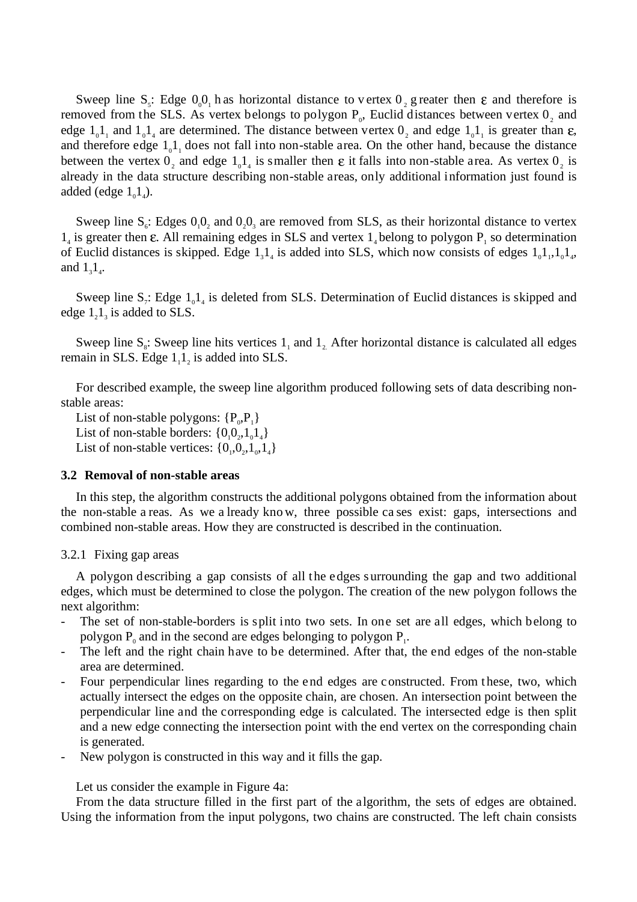Sweep line S<sub>5</sub>: Edge  $0<sub>0</sub>0<sub>1</sub>$  h as horizontal distance to v ertex  $0<sub>2</sub>$  g reater then  $\varepsilon$  and therefore is removed from the SLS. As vertex belongs to polygon  $P_0$ , Euclid distances between vertex  $0_2$  and edge  $1_01_1$  and  $1_01_4$  are determined. The distance between vertex  $0_2$  and edge  $1_01_1$  is greater than  $\varepsilon$ , and therefore edge  $1_01_1$  does not fall into non-stable area. On the other hand, because the distance between the vertex  $0_2$  and edge  $1_0 1_4$  is smaller then  $\varepsilon$  it falls into non-stable area. As vertex  $0_2$  is already in the data structure describing non-stable areas, only additional information just found is added (edge  $1_01_4$ ).

Sweep line  $S_6$ : Edges  $0_10_2$  and  $0_20_3$  are removed from SLS, as their horizontal distance to vertex  $1<sub>4</sub>$  is greater then  $\varepsilon$ . All remaining edges in SLS and vertex  $1<sub>4</sub>$  belong to polygon  $P<sub>1</sub>$  so determination of Euclid distances is skipped. Edge  $1_31_4$  is added into SLS, which now consists of edges  $1_01_1, 1_01_4$ , and  $1_31_4$ .

Sweep line  $S_i$ : Edge  $1_01_4$  is deleted from SLS. Determination of Euclid distances is skipped and edge  $1_2 1_3$  is added to SLS.

Sweep line  $S_s$ : Sweep line hits vertices  $1_1$  and  $1_2$ . After horizontal distance is calculated all edges remain in SLS. Edge  $1_1 1_2$  is added into SLS.

For described example, the sweep line algorithm produced following sets of data describing nonstable areas:

List of non-stable polygons:  $\{P_0, P_1\}$ List of non-stable borders:  $\{0_10_2, 1_01_4\}$ List of non-stable vertices:  $\{0_1, 0_2, 1_0, 1_4\}$ 

#### **3.2 Removal of non-stable areas**

In this step, the algorithm constructs the additional polygons obtained from the information about the non-stable a reas. As we a lready kno w, three possible ca ses exist: gaps, intersections and combined non-stable areas. How they are constructed is described in the continuation.

#### 3.2.1 Fixing gap areas

A polygon describing a gap consists of all the edges s urrounding the gap and two additional edges, which must be determined to close the polygon. The creation of the new polygon follows the next algorithm:

- The set of non-stable-borders is split into two sets. In one set are all edges, which belong to polygon  $P_0$  and in the second are edges belonging to polygon  $P_1$ .
- The left and the right chain have to be determined. After that, the end edges of the non-stable area are determined.
- Four perpendicular lines regarding to the end edges are constructed. From these, two, which actually intersect the edges on the opposite chain, are chosen. An intersection point between the perpendicular line and the corresponding edge is calculated. The intersected edge is then split and a new edge connecting the intersection point with the end vertex on the corresponding chain is generated.
- New polygon is constructed in this way and it fills the gap.

Let us consider the example in Figure 4a:

From the data structure filled in the first part of the algorithm, the sets of edges are obtained. Using the information from the input polygons, two chains are constructed. The left chain consists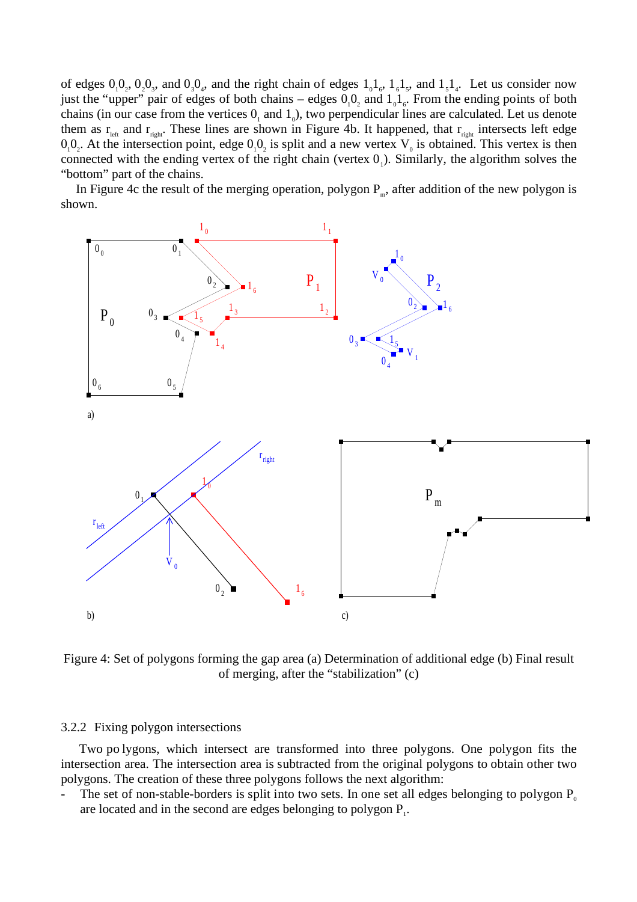of edges  $0_10_2$ ,  $0_20_3$ , and  $0_30_4$ , and the right chain of edges  $1_01_6$ ,  $1_61_5$ , and  $1_51_4$ . Let us consider now just the "upper" pair of edges of both chains – edges  $0<sub>1</sub>0<sub>2</sub>$  and  $1<sub>0</sub>1<sub>6</sub>$ . From the ending points of both chains (in our case from the vertices  $0<sub>1</sub>$  and  $1<sub>0</sub>$ ), two perpendicular lines are calculated. Let us denote them as  $r_{\text{left}}$  and  $r_{\text{right}}$ . These lines are shown in Figure 4b. It happened, that  $r_{\text{right}}$  intersects left edge  $0_10_2$ . At the intersection point, edge  $0_10_2$  is split and a new vertex  $V_0$  is obtained. This vertex is then connected with the ending vertex of the right chain (vertex  $0<sub>1</sub>$ ). Similarly, the algorithm solves the "bottom" part of the chains.

In Figure 4c the result of the merging operation, polygon  $P_m$ , after addition of the new polygon is shown.



Figure 4: Set of polygons forming the gap area (a) Determination of additional edge (b) Final result of merging, after the "stabilization" (c)

#### 3.2.2 Fixing polygon intersections

Two po lygons, which intersect are transformed into three polygons. One polygon fits the intersection area. The intersection area is subtracted from the original polygons to obtain other two polygons. The creation of these three polygons follows the next algorithm:

The set of non-stable-borders is split into two sets. In one set all edges belonging to polygon  $P_0$ are located and in the second are edges belonging to polygon  $P_1$ .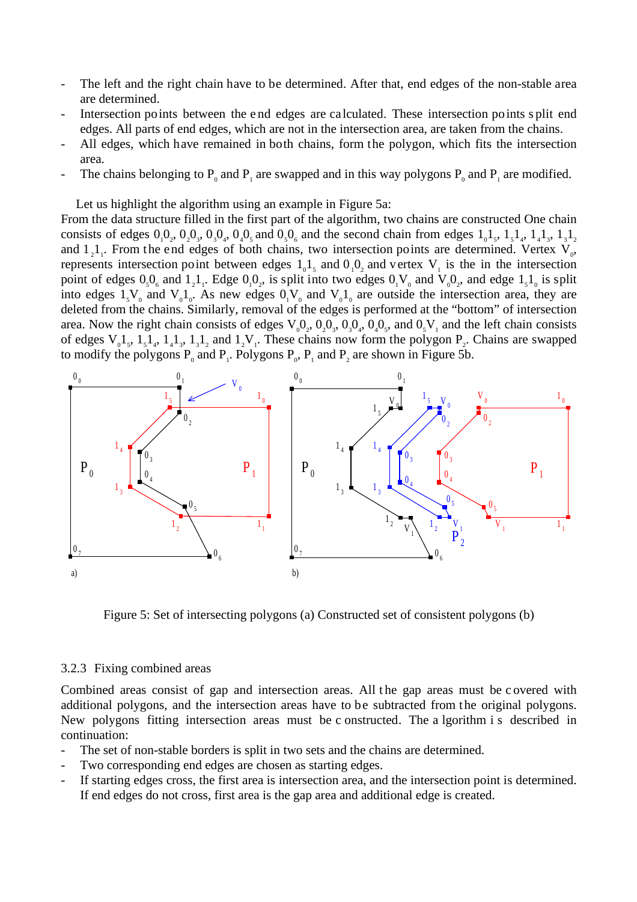- The left and the right chain have to be determined. After that, end edges of the non-stable area are determined.
- Intersection points between the e nd edges are ca lculated. These intersection points s plit end edges. All parts of end edges, which are not in the intersection area, are taken from the chains.
- All edges, which have remained in both chains, form the polygon, which fits the intersection area.
- The chains belonging to  $P_0$  and  $P_1$  are swapped and in this way polygons  $P_0$  and  $P_1$  are modified.

Let us highlight the algorithm using an example in Figure 5a:

From the data structure filled in the first part of the algorithm, two chains are constructed One chain consists of edges  $0_10_2$ ,  $0_20_3$ ,  $0_30_4$ ,  $0_40_5$  and  $0_50_6$  and the second chain from edges  $1_01_5$ ,  $1_51_4$ ,  $1_41_3$ ,  $1_31_2$ and  $1_2 1_1$ . From the end edges of both chains, two intersection points are determined. Vertex  $V_0$ , represents intersection point between edges  $1_0 1_5$  and  $0_1 0_2$  and vertex  $V_1$  is the in the intersection point of edges  $0_50_6$  and  $1_21_1$ . Edge  $0_10_2$ , is split into two edges  $0_1V_0$  and  $V_00_2$ , and edge  $1_51_0$  is split into edges  $1_sV_0$  and  $V_01_0$ . As new edges  $0_1V_0$  and  $V_01_0$  are outside the intersection area, they are deleted from the chains. Similarly, removal of the edges is performed at the "bottom" of intersection area. Now the right chain consists of edges V00<sup>2</sup> , 020<sup>3</sup> , 030<sup>4</sup> , 040<sup>5</sup> , and 05V<sup>1</sup> and the left chain consists of edges  $V_0$ 1,, 1,1,, 1,1,, 1,1, and 1, $V_1$ . These chains now form the polygon  $P_2$ . Chains are swapped to modify the polygons  $P_0$  and  $P_1$ . Polygons  $P_0$ ,  $P_1$  and  $P_2$  are shown in Figure 5b.



Figure 5: Set of intersecting polygons (a) Constructed set of consistent polygons (b)

#### 3.2.3 Fixing combined areas

Combined areas consist of gap and intersection areas. All the gap areas must be covered with additional polygons, and the intersection areas have to be subtracted from the original polygons. New polygons fitting intersection areas must be c onstructed. The a lgorithm i s described in continuation:

- The set of non-stable borders is split in two sets and the chains are determined.
- Two corresponding end edges are chosen as starting edges.
- If starting edges cross, the first area is intersection area, and the intersection point is determined. If end edges do not cross, first area is the gap area and additional edge is created.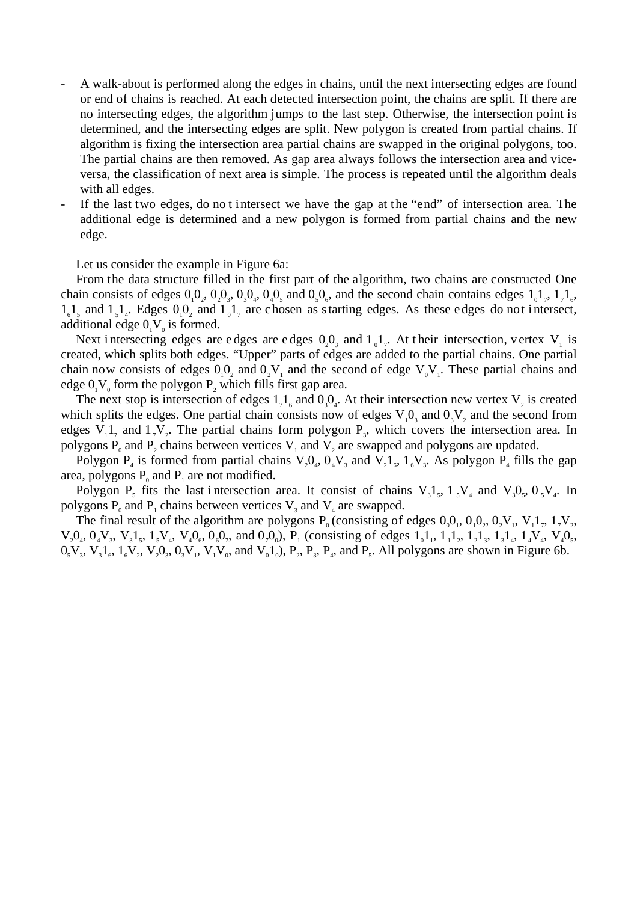- A walk-about is performed along the edges in chains, until the next intersecting edges are found or end of chains is reached. At each detected intersection point, the chains are split. If there are no intersecting edges, the algorithm jumps to the last step. Otherwise, the intersection point is determined, and the intersecting edges are split. New polygon is created from partial chains. If algorithm is fixing the intersection area partial chains are swapped in the original polygons, too. The partial chains are then removed. As gap area always follows the intersection area and viceversa, the classification of next area is simple. The process is repeated until the algorithm deals with all edges.
- If the last two edges, do not intersect we have the gap at the "end" of intersection area. The additional edge is determined and a new polygon is formed from partial chains and the new edge.

Let us consider the example in Figure 6a:

From the data structure filled in the first part of the algorithm, two chains are constructed One chain consists of edges  $0_10_2$ ,  $0_20_3$ ,  $0_30_4$ ,  $0_40_5$  and  $0_50_6$ , and the second chain contains edges  $1_01_7$ ,  $1_71_6$ ,  $1_{6}1_{5}$  and  $1_{5}1_{4}$ . Edges  $0_{1}0_{2}$  and  $1_{0}1_{7}$  are chosen as starting edges. As these edges do not intersect, additional edge  $0<sub>1</sub>V<sub>0</sub>$  is formed.

Next i ntersecting edges are edges are edges  $0<sub>2</sub>0<sub>3</sub>$  and  $1<sub>0</sub>1<sub>7</sub>$ . At their intersection, vertex V<sub>1</sub> is created, which splits both edges. "Upper" parts of edges are added to the partial chains. One partial chain now consists of edges  $0<sub>1</sub>0<sub>2</sub>$  and  $0<sub>2</sub>V<sub>1</sub>$  and the second of edge  $V<sub>0</sub>V<sub>1</sub>$ . These partial chains and edge  $0<sub>1</sub>V<sub>0</sub>$  form the polygon  $P<sub>2</sub>$  which fills first gap area.

The next stop is intersection of edges  $1<sub>7</sub>1<sub>6</sub>$  and  $0<sub>3</sub>0<sub>4</sub>$ . At their intersection new vertex V<sub>2</sub> is created which splits the edges. One partial chain consists now of edges  $V_1O_3$  and  $0_3V_2$  and the second from edges  $V_1 1_7$  and  $1_7 V_2$ . The partial chains form polygon  $P_3$ , which covers the intersection area. In polygons  $P_0$  and  $P_2$  chains between vertices  $V_1$  and  $V_2$  are swapped and polygons are updated.

Polygon  $P_4$  is formed from partial chains  $V_2O_4$ ,  $O_4V_3$  and  $V_2I_6$ ,  $1_6V_3$ . As polygon  $P_4$  fills the gap area, polygons  $P_0$  and  $P_1$  are not modified.

Polygon P<sub>5</sub> fits the last i ntersection area. It consist of chains  $V_3 1_s$ ,  $1_s V_4$  and  $V_3 0_s$ ,  $0_s V_4$ . In polygons  $P_0$  and  $P_1$  chains between vertices  $V_3$  and  $V_4$  are swapped.

The final result of the algorithm are polygons  $P_0$  (consisting of edges  $0<sub>0</sub>0<sub>1</sub>$ ,  $0<sub>2</sub>0<sub>1</sub>$ ,  $0<sub>2</sub>V<sub>1</sub>$ ,  $V<sub>1</sub>1<sub>7</sub>$ ,  $1<sub>7</sub>V<sub>2</sub>$ ,  $V_2O_4$ ,  $O_4V_3$ ,  $V_3I_5$ ,  $1_5V_4$ ,  $V_4O_6$ ,  $O_6O_7$ , and  $O_7O_0$ ),  $P_1$  (consisting of edges  $1_01_1$ ,  $1_11_2$ ,  $1_21_3$ ,  $1_31_4$ ,  $1_4V_4$ ,  $V_4O_5$ ,  $0, V_3, V_3, 1, V_4, V_2, V_3, 0, V_1, V_1, V_0$ , and  $V_0, V_0, V_1, V_2, V_3, V_4$ , and  $P_5$ . All polygons are shown in Figure 6b.